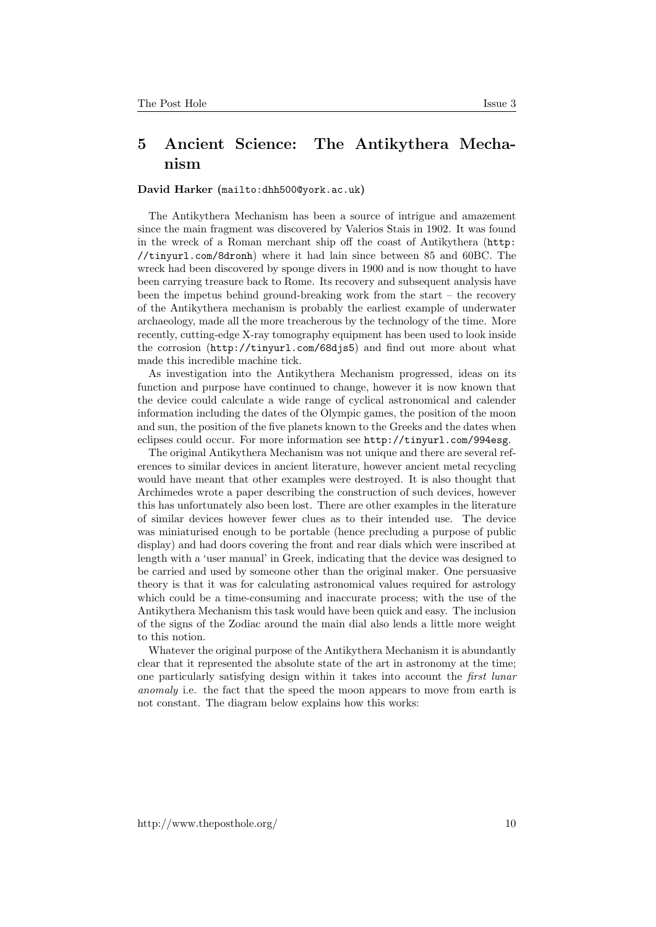## 5 Ancient Science: The Antikythera Mechanism

## David Harker (<mailto:dhh500@york.ac.uk>)

The Antikythera Mechanism has been a source of intrigue and amazement since the main fragment was discovered by Valerios Stais in 1902. It was found in the wreck of a Roman merchant ship off the coast of Antikythera ([http:](http://tinyurl.com/8dronh) [//tinyurl.com/8dronh](http://tinyurl.com/8dronh)) where it had lain since between 85 and 60BC. The wreck had been discovered by sponge divers in 1900 and is now thought to have been carrying treasure back to Rome. Its recovery and subsequent analysis have been the impetus behind ground-breaking work from the start – the recovery of the Antikythera mechanism is probably the earliest example of underwater archaeology, made all the more treacherous by the technology of the time. More recently, cutting-edge X-ray tomography equipment has been used to look inside the corrosion (<http://tinyurl.com/68djs5>) and find out more about what made this incredible machine tick.

As investigation into the Antikythera Mechanism progressed, ideas on its function and purpose have continued to change, however it is now known that the device could calculate a wide range of cyclical astronomical and calender information including the dates of the Olympic games, the position of the moon and sun, the position of the five planets known to the Greeks and the dates when eclipses could occur. For more information see <http://tinyurl.com/994esg>.

The original Antikythera Mechanism was not unique and there are several references to similar devices in ancient literature, however ancient metal recycling would have meant that other examples were destroyed. It is also thought that Archimedes wrote a paper describing the construction of such devices, however this has unfortunately also been lost. There are other examples in the literature of similar devices however fewer clues as to their intended use. The device was miniaturised enough to be portable (hence precluding a purpose of public display) and had doors covering the front and rear dials which were inscribed at length with a 'user manual' in Greek, indicating that the device was designed to be carried and used by someone other than the original maker. One persuasive theory is that it was for calculating astronomical values required for astrology which could be a time-consuming and inaccurate process; with the use of the Antikythera Mechanism this task would have been quick and easy. The inclusion of the signs of the Zodiac around the main dial also lends a little more weight to this notion.

Whatever the original purpose of the Antikythera Mechanism it is abundantly clear that it represented the absolute state of the art in astronomy at the time; one particularly satisfying design within it takes into account the first lunar anomaly i.e. the fact that the speed the moon appears to move from earth is not constant. The diagram below explains how this works: